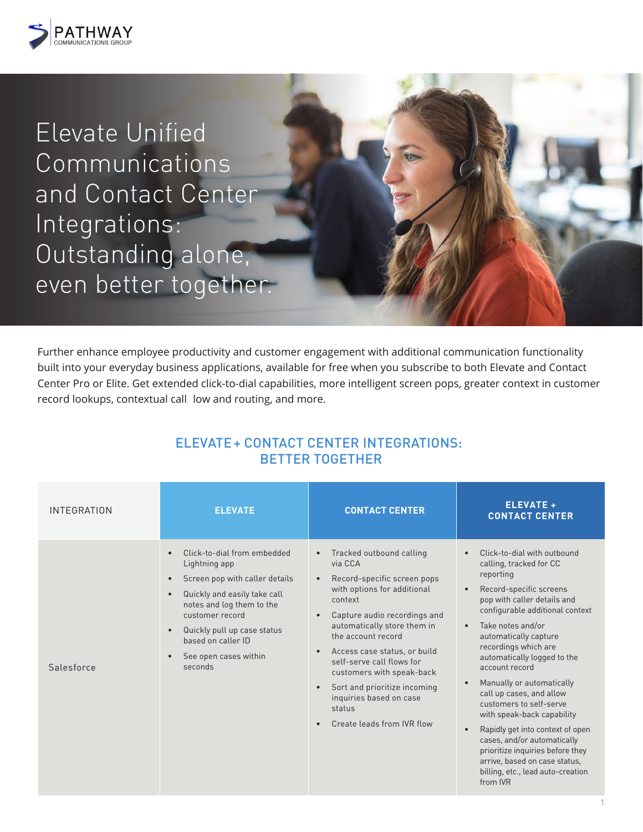

Elevate Unified Communications and Contact Center Integrations: Outstanding alone, even better together.

Further enhance employee productivity and customer engagement with additional communication functionality built into your everyday business applications, available for free when you subscribe to both Elevate and Contact Center Pro or Elite. Get extended click-to-dial capabilities, more intelligent screen pops, greater context in customer record lookups, contextual call low and routing, and more.

| <b>INTEGRATION</b> | <b>ELEVATE</b>                                                                                                                                                                                                                                                                                                           | <b>CONTACT CENTER</b>                                                                                                                                                                                                                                                                                                                                                                          | <b>ELEVATE +</b><br><b>CONTACT CENTER</b>                                                                                                                                                                                                                                                                                                                                                                                                                                                                                                                                                                                                                           |
|--------------------|--------------------------------------------------------------------------------------------------------------------------------------------------------------------------------------------------------------------------------------------------------------------------------------------------------------------------|------------------------------------------------------------------------------------------------------------------------------------------------------------------------------------------------------------------------------------------------------------------------------------------------------------------------------------------------------------------------------------------------|---------------------------------------------------------------------------------------------------------------------------------------------------------------------------------------------------------------------------------------------------------------------------------------------------------------------------------------------------------------------------------------------------------------------------------------------------------------------------------------------------------------------------------------------------------------------------------------------------------------------------------------------------------------------|
| Salesforce         | Click-to-dial from embedded<br>$\bullet$<br>Lightning app<br>Screen pop with caller details<br>$\bullet$<br>Quickly and easily take call<br>$\bullet$<br>notes and log them to the<br>customer record<br>Quickly pull up case status<br>$\bullet$<br>based on caller ID<br>See open cases within<br>$\bullet$<br>seconds | Tracked outbound calling<br>via CCA<br>Record-specific screen pops<br>with options for additional<br>context<br>Capture audio recordings and<br>automatically store them in<br>the account record<br>Access case status, or build<br>self-serve call flows for<br>customers with speak-back<br>Sort and prioritize incoming<br>inquiries based on case<br>status<br>Create leads from IVR flow | Click-to-dial with outbound<br>$\bullet$<br>calling, tracked for CC<br>reporting<br>Record-specific screens<br>$\bullet$<br>pop with caller details and<br>configurable additional context<br>Take notes and/or<br>$\bullet$<br>automatically capture<br>recordings which are<br>automatically logged to the<br>account record<br>Manually or automatically<br>$\bullet$<br>call up cases, and allow<br>customers to self-serve<br>with speak-back capability<br>Rapidly get into context of open<br>$\bullet$<br>cases, and/or automatically<br>prioritize inquiries before they<br>arrive, based on case status,<br>billing, etc., lead auto-creation<br>from IVR |

## ELEVATE+ CONTACT CENTER INTEGRATIONS: BETTER TOGETHER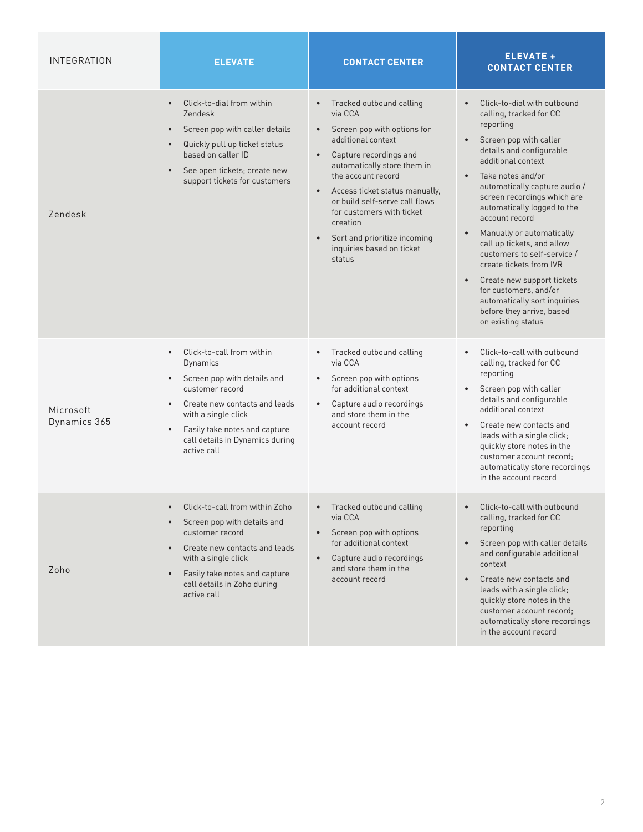| INTEGRATION               | <b>ELEVATE</b>                                                                                                                                                                                                                                                                         | <b>CONTACT CENTER</b>                                                                                                                                                                                                                                                                                                                                                                 | <b>ELEVATE +</b><br><b>CONTACT CENTER</b>                                                                                                                                                                                                                                                                                                                                                                                                                                                                                                                         |
|---------------------------|----------------------------------------------------------------------------------------------------------------------------------------------------------------------------------------------------------------------------------------------------------------------------------------|---------------------------------------------------------------------------------------------------------------------------------------------------------------------------------------------------------------------------------------------------------------------------------------------------------------------------------------------------------------------------------------|-------------------------------------------------------------------------------------------------------------------------------------------------------------------------------------------------------------------------------------------------------------------------------------------------------------------------------------------------------------------------------------------------------------------------------------------------------------------------------------------------------------------------------------------------------------------|
| Zendesk                   | Click-to-dial from within<br>$\bullet$<br>Zendesk<br>Screen pop with caller details<br>$\bullet$<br>Quickly pull up ticket status<br>$\bullet$<br>based on caller ID<br>See open tickets; create new<br>$\bullet$<br>support tickets for customers                                     | Tracked outbound calling<br>via CCA<br>Screen pop with options for<br>additional context<br>Capture recordings and<br>automatically store them in<br>the account record<br>Access ticket status manually,<br>$\bullet$<br>or build self-serve call flows<br>for customers with ticket<br>creation<br>Sort and prioritize incoming<br>$\bullet$<br>inquiries based on ticket<br>status | Click-to-dial with outbound<br>$\bullet$<br>calling, tracked for CC<br>reporting<br>Screen pop with caller<br>details and configurable<br>additional context<br>Take notes and/or<br>automatically capture audio /<br>screen recordings which are<br>automatically logged to the<br>account record<br>Manually or automatically<br>call up tickets, and allow<br>customers to self-service /<br>create tickets from IVR<br>Create new support tickets<br>for customers, and/or<br>automatically sort inquiries<br>before they arrive, based<br>on existing status |
| Microsoft<br>Dynamics 365 | Click-to-call from within<br>$\bullet$<br>Dynamics<br>Screen pop with details and<br>$\bullet$<br>customer record<br>Create new contacts and leads<br>$\bullet$<br>with a single click<br>Easily take notes and capture<br>$\bullet$<br>call details in Dynamics during<br>active call | Tracked outbound calling<br>$\bullet$<br>via CCA<br>Screen pop with options<br>$\bullet$<br>for additional context<br>Capture audio recordings<br>$\bullet$<br>and store them in the<br>account record                                                                                                                                                                                | Click-to-call with outbound<br>calling, tracked for CC<br>reporting<br>Screen pop with caller<br>details and configurable<br>additional context<br>Create new contacts and<br>leads with a single click;<br>quickly store notes in the<br>customer account record;<br>automatically store recordings<br>in the account record                                                                                                                                                                                                                                     |
| Zoho                      | Click-to-call from within Zoho<br>Screen pop with details and<br>$\bullet$<br>customer record<br>Create new contacts and leads<br>$\bullet$<br>with a single click<br>Easily take notes and capture<br>$\bullet$<br>call details in Zoho during<br>active call                         | Tracked outbound calling<br>via CCA<br>Screen pop with options<br>for additional context<br>Capture audio recordings<br>$\bullet$<br>and store them in the<br>account record                                                                                                                                                                                                          | Click-to-call with outbound<br>calling, tracked for CC<br>reporting<br>Screen pop with caller details<br>and configurable additional<br>context<br>Create new contacts and<br>leads with a single click;<br>quickly store notes in the<br>customer account record;<br>automatically store recordings<br>in the account record                                                                                                                                                                                                                                     |